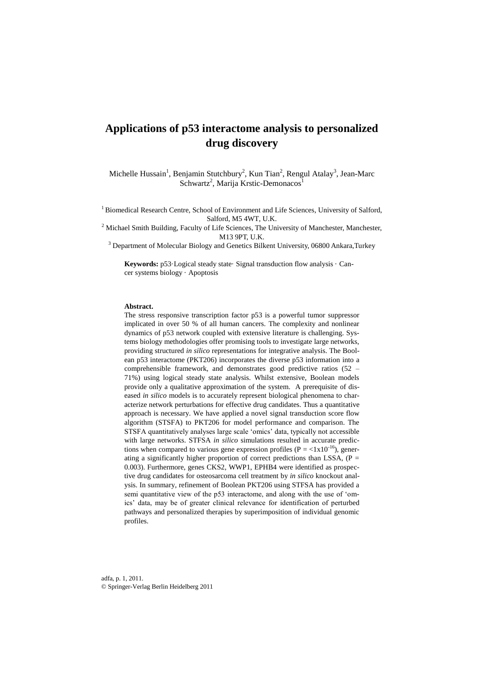# **Applications of p53 interactome analysis to personalized drug discovery**

Michelle Hussain<sup>1</sup>, Benjamin Stutchbury<sup>2</sup>, Kun Tian<sup>2</sup>, Rengul Atalay<sup>3</sup>, Jean-Marc Schwartz<sup>2</sup>, Marija Krstic-Demonacos<sup>1</sup>

<sup>1</sup> Biomedical Research Centre, School of Environment and Life Sciences, University of Salford, Salford, M5 4WT, U.K.

 $2$  Michael Smith Building, Faculty of Life Sciences, The University of Manchester, Manchester, M13 9PT, U.K.

<sup>3</sup> Department of Molecular Biology and Genetics Bilkent University, 06800 Ankara, Turkey

**Keywords:** p53·Logical steady state· Signal transduction flow analysis · Cancer systems biology · Apoptosis

#### **Abstract.**

The stress responsive transcription factor p53 is a powerful tumor suppressor implicated in over 50 % of all human cancers. The complexity and nonlinear dynamics of p53 network coupled with extensive literature is challenging. Systems biology methodologies offer promising tools to investigate large networks, providing structured *in silico* representations for integrative analysis. The Boolean p53 interactome (PKT206) incorporates the diverse p53 information into a comprehensible framework, and demonstrates good predictive ratios (52 – 71%) using logical steady state analysis. Whilst extensive, Boolean models provide only a qualitative approximation of the system. A prerequisite of diseased *in silico* models is to accurately represent biological phenomena to characterize network perturbations for effective drug candidates. Thus a quantitative approach is necessary. We have applied a novel signal transduction score flow algorithm (STSFA) to PKT206 for model performance and comparison. The STSFA quantitatively analyses large scale 'omics' data, typically not accessible with large networks. STFSA *in silico* simulations resulted in accurate predictions when compared to various gene expression profiles ( $P = \langle 1x10^{-16} \rangle$ , generating a significantly higher proportion of correct predictions than LSSA,  $(P =$ 0.003). Furthermore, genes CKS2, WWP1, EPHB4 were identified as prospective drug candidates for osteosarcoma cell treatment by *in silico* knockout analysis. In summary, refinement of Boolean PKT206 using STFSA has provided a semi quantitative view of the p53 interactome, and along with the use of 'omics' data, may be of greater clinical relevance for identification of perturbed pathways and personalized therapies by superimposition of individual genomic profiles.

adfa, p. 1, 2011. © Springer-Verlag Berlin Heidelberg 2011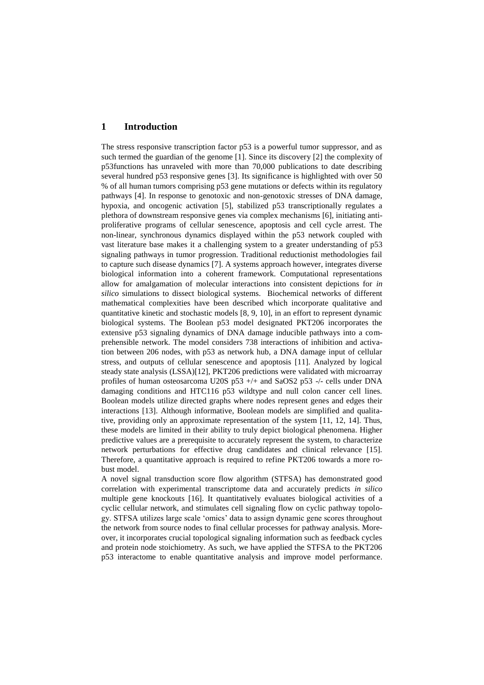## **1 Introduction**

The stress responsive transcription factor p53 is a powerful tumor suppressor, and as such termed the guardian of the genome [1]. Since its discovery [2] the complexity of p53functions has unraveled with more than 70,000 publications to date describing several hundred p53 responsive genes [3]. Its significance is highlighted with over 50 % of all human tumors comprising p53 gene mutations or defects within its regulatory pathways [4]. In response to genotoxic and non-genotoxic stresses of DNA damage, hypoxia, and oncogenic activation [5], stabilized p53 transcriptionally regulates a plethora of downstream responsive genes via complex mechanisms [6], initiating antiproliferative programs of cellular senescence, apoptosis and cell cycle arrest. The non-linear, synchronous dynamics displayed within the p53 network coupled with vast literature base makes it a challenging system to a greater understanding of p53 signaling pathways in tumor progression. Traditional reductionist methodologies fail to capture such disease dynamics [7]. A systems approach however, integrates diverse biological information into a coherent framework. Computational representations allow for amalgamation of molecular interactions into consistent depictions for *in silico* simulations to dissect biological systems. Biochemical networks of different mathematical complexities have been described which incorporate qualitative and quantitative kinetic and stochastic models [8, 9, 10], in an effort to represent dynamic biological systems. The Boolean p53 model designated PKT206 incorporates the extensive p53 signaling dynamics of DNA damage inducible pathways into a comprehensible network. The model considers 738 interactions of inhibition and activation between 206 nodes, with p53 as network hub, a DNA damage input of cellular stress, and outputs of cellular senescence and apoptosis [11]. Analyzed by logical steady state analysis (LSSA)[12], PKT206 predictions were validated with microarray profiles of human osteosarcoma U20S p53 +/+ and SaOS2 p53 -/- cells under DNA damaging conditions and HTC116 p53 wildtype and null colon cancer cell lines. Boolean models utilize directed graphs where nodes represent genes and edges their interactions [13]. Although informative, Boolean models are simplified and qualitative, providing only an approximate representation of the system [11, 12, 14]. Thus, these models are limited in their ability to truly depict biological phenomena. Higher predictive values are a prerequisite to accurately represent the system, to characterize network perturbations for effective drug candidates and clinical relevance [15]. Therefore, a quantitative approach is required to refine PKT206 towards a more robust model.

A novel signal transduction score flow algorithm (STFSA) has demonstrated good correlation with experimental transcriptome data and accurately predicts *in silico* multiple gene knockouts [16]. It quantitatively evaluates biological activities of a cyclic cellular network, and stimulates cell signaling flow on cyclic pathway topology. STFSA utilizes large scale 'omics' data to assign dynamic gene scores throughout the network from source nodes to final cellular processes for pathway analysis. Moreover, it incorporates crucial topological signaling information such as feedback cycles and protein node stoichiometry. As such, we have applied the STFSA to the PKT206 p53 interactome to enable quantitative analysis and improve model performance.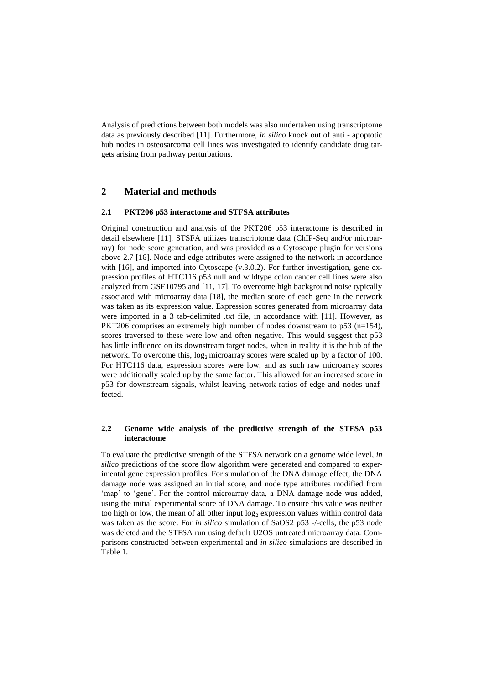Analysis of predictions between both models was also undertaken using transcriptome data as previously described [11]. Furthermore, *in silico* knock out of anti - apoptotic hub nodes in osteosarcoma cell lines was investigated to identify candidate drug targets arising from pathway perturbations.

## **2 Material and methods**

#### **2.1 PKT206 p53 interactome and STFSA attributes**

Original construction and analysis of the PKT206 p53 interactome is described in detail elsewhere [11]. STSFA utilizes transcriptome data (ChIP-Seq and/or microarray) for node score generation, and was provided as a Cytoscape plugin for versions above 2.7 [16]. Node and edge attributes were assigned to the network in accordance with [16], and imported into Cytoscape (v.3.0.2). For further investigation, gene expression profiles of HTC116 p53 null and wildtype colon cancer cell lines were also analyzed from GSE10795 and [11, 17]. To overcome high background noise typically associated with microarray data [18], the median score of each gene in the network was taken as its expression value. Expression scores generated from microarray data were imported in a 3 tab-delimited .txt file, in accordance with [11]. However, as PKT206 comprises an extremely high number of nodes downstream to p53 (n=154), scores traversed to these were low and often negative. This would suggest that p53 has little influence on its downstream target nodes, when in reality it is the hub of the network. To overcome this,  $log_2$  microarray scores were scaled up by a factor of 100. For HTC116 data, expression scores were low, and as such raw microarray scores were additionally scaled up by the same factor. This allowed for an increased score in p53 for downstream signals, whilst leaving network ratios of edge and nodes unaffected.

## **2.2 Genome wide analysis of the predictive strength of the STFSA p53 interactome**

To evaluate the predictive strength of the STFSA network on a genome wide level*, in silico* predictions of the score flow algorithm were generated and compared to experimental gene expression profiles. For simulation of the DNA damage effect, the DNA damage node was assigned an initial score, and node type attributes modified from 'map' to 'gene'. For the control microarray data, a DNA damage node was added, using the initial experimental score of DNA damage. To ensure this value was neither too high or low, the mean of all other input  $\log_2$  expression values within control data was taken as the score. For *in silico* simulation of SaOS2 p53 -/-cells, the p53 node was deleted and the STFSA run using default U2OS untreated microarray data. Comparisons constructed between experimental and *in silico* simulations are described in Table 1.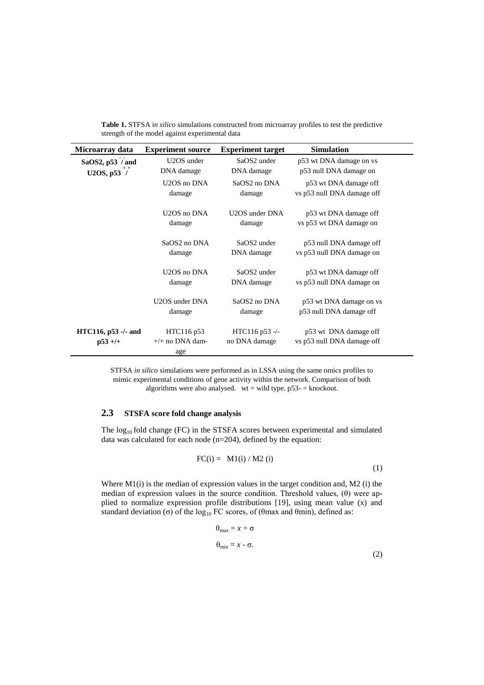| Microarray data                       | <b>Experiment source</b>               | <b>Experiment target</b>        | <b>Simulation</b>                                   |  |
|---------------------------------------|----------------------------------------|---------------------------------|-----------------------------------------------------|--|
| SaOS2, $p53 / and$                    | U <sub>2</sub> OS under                | SaOS2 under                     | p53 wt DNA damage on vs                             |  |
| U2OS, $p53'$                          | DNA damage                             | DNA damage                      | p53 null DNA damage on                              |  |
|                                       | U2OS no DNA                            | SaOS <sub>2</sub> no DNA        | p53 wt DNA damage off                               |  |
|                                       | damage                                 | damage                          | vs p53 null DNA damage off                          |  |
|                                       | U2OS no DNA                            | U2OS under DNA                  | p53 wt DNA damage off                               |  |
|                                       | damage                                 | damage                          | vs p53 wt DNA damage on                             |  |
|                                       | SaOS2 no DNA                           | SaOS2 under                     | p53 null DNA damage off                             |  |
|                                       | damage                                 | DNA damage                      | vs p53 null DNA damage on                           |  |
|                                       | U <sub>2</sub> OS no DNA               | SaOS2 under                     | p53 wt DNA damage off                               |  |
|                                       | damage                                 | DNA damage                      | vs p53 null DNA damage on                           |  |
|                                       | U2OS under DNA                         | SaOS2 no DNA                    | p53 wt DNA damage on vs                             |  |
|                                       | damage                                 | damage                          | p53 null DNA damage off                             |  |
| $HTC116$ , $p53$ -/- and<br>$p53 +/+$ | HTC116 p53<br>$+/+$ no DNA dam-<br>age | HTC116 p53 -/-<br>no DNA damage | p53 wt DNA damage off<br>vs p53 null DNA damage off |  |

**Table 1.** STFSA i*n silico* simulations constructed from microarray profiles to test the predictive strength of the model against experimental data

STFSA *in silico* simulations were performed as in LSSA using the same omics profiles to mimic experimental conditions of gene activity within the network. Comparison of both algorithms were also analysed. wt = wild type.  $p53 -$  = knockout.

## **2.3 STSFA score fold change analysis**

The  $log_{10}$  fold change (FC) in the STSFA scores between experimental and simulated data was calculated for each node (n=204), defined by the equation:

$$
FC(i) = M1(i) / M2 (i)
$$
 (1)

Where M1(i) is the median of expression values in the target condition and, M2 (i) the median of expression values in the source condition. Threshold values,  $(\theta)$  were applied to normalize expression profile distributions [19], using mean value (x) and standard deviation (σ) of the log<sub>10</sub> FC scores, of (θmax and θmin), defined as:

$$
\theta_{\text{max}} = x + \sigma
$$
  
\n
$$
\theta_{\text{min}} = x - \sigma.
$$
\n(2)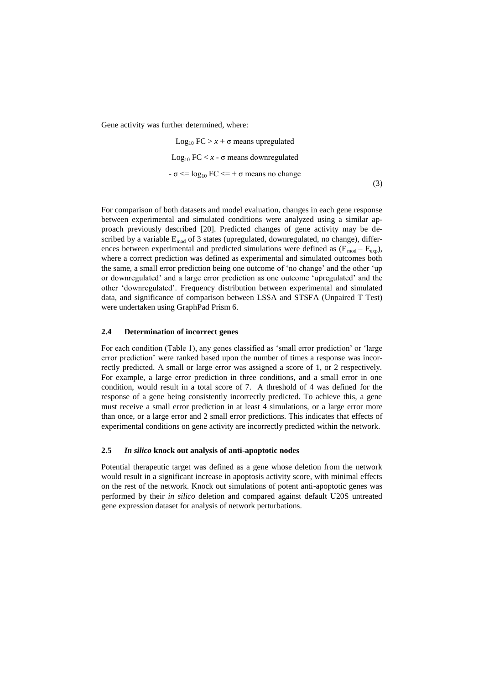Gene activity was further determined, where:

Log<sub>10</sub> FC > 
$$
x + \sigma
$$
 means upregulated  
Log<sub>10</sub> FC  $\langle x - \sigma$  means downregulated  
-\nσ  $\langle = \log_{10} FC \langle = + \sigma$  means no change\n(3)

For comparison of both datasets and model evaluation, changes in each gene response between experimental and simulated conditions were analyzed using a similar approach previously described [20]. Predicted changes of gene activity may be described by a variable  $E_{mod}$  of 3 states (upregulated, downregulated, no change), differences between experimental and predicted simulations were defined as  $(E_{mod} - E_{\text{exp}})$ , where a correct prediction was defined as experimental and simulated outcomes both the same, a small error prediction being one outcome of 'no change' and the other 'up or downregulated' and a large error prediction as one outcome 'upregulated' and the other 'downregulated'. Frequency distribution between experimental and simulated data, and significance of comparison between LSSA and STSFA (Unpaired T Test) were undertaken using GraphPad Prism 6.

#### **2.4 Determination of incorrect genes**

For each condition (Table 1), any genes classified as 'small error prediction' or 'large error prediction' were ranked based upon the number of times a response was incorrectly predicted. A small or large error was assigned a score of 1, or 2 respectively. For example, a large error prediction in three conditions, and a small error in one condition, would result in a total score of 7. A threshold of 4 was defined for the response of a gene being consistently incorrectly predicted. To achieve this, a gene must receive a small error prediction in at least 4 simulations, or a large error more than once, or a large error and 2 small error predictions. This indicates that effects of experimental conditions on gene activity are incorrectly predicted within the network.

## **2.5** *In silico* **knock out analysis of anti-apoptotic nodes**

Potential therapeutic target was defined as a gene whose deletion from the network would result in a significant increase in apoptosis activity score, with minimal effects on the rest of the network. Knock out simulations of potent anti-apoptotic genes was performed by their *in silico* deletion and compared against default U20S untreated gene expression dataset for analysis of network perturbations.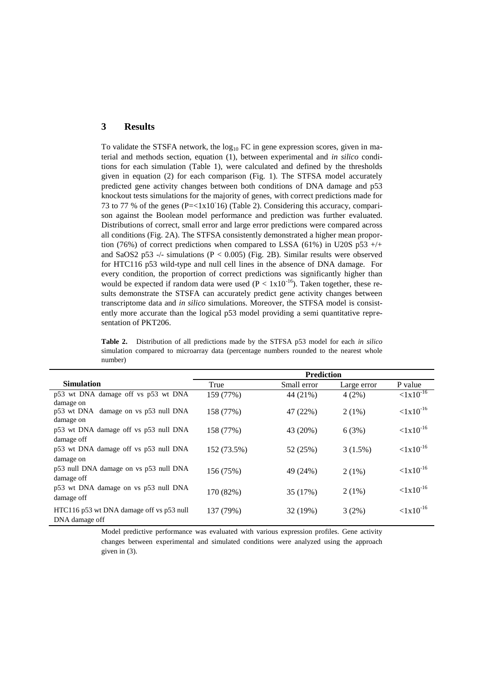## **3 Results**

damage off

damage off

DNA damage off

p53 null DNA damage on vs p53 null DNA

p53 wt DNA damage on vs p53 null DNA

HTC116 p53 wt DNA damage off vs p53 null

To validate the STSFA network, the  $log_{10}$  FC in gene expression scores, given in material and methods section, equation (1), between experimental and *in silico* conditions for each simulation (Table 1), were calculated and defined by the thresholds given in equation (2) for each comparison (Fig. 1). The STFSA model accurately predicted gene activity changes between both conditions of DNA damage and p53 knockout tests simulations for the majority of genes, with correct predictions made for 73 to 77 % of the genes (P=<1x10- 16) (Table 2). Considering this accuracy, comparison against the Boolean model performance and prediction was further evaluated. Distributions of correct, small error and large error predictions were compared across all conditions (Fig. 2A). The STFSA consistently demonstrated a higher mean proportion (76%) of correct predictions when compared to LSSA (61%) in U20S p53  $+/+$ and SaOS2 p53 -/- simulations (P  $<$  0.005) (Fig. 2B). Similar results were observed for HTC116 p53 wild-type and null cell lines in the absence of DNA damage. For every condition, the proportion of correct predictions was significantly higher than would be expected if random data were used ( $P < 1x10^{-16}$ ). Taken together, these results demonstrate the STSFA can accurately predict gene activity changes between transcriptome data and *in silico* simulations. Moreover, the STFSA model is consistently more accurate than the logical p53 model providing a semi quantitative representation of PKT206.

| omanon compares to microarta, cata (percentage namocro rounded to the nearest whor<br>number) |                   |             |             |                      |  |
|-----------------------------------------------------------------------------------------------|-------------------|-------------|-------------|----------------------|--|
|                                                                                               | <b>Prediction</b> |             |             |                      |  |
| <b>Simulation</b>                                                                             | True              | Small error | Large error | P value              |  |
| p53 wt DNA damage off vs p53 wt DNA<br>damage on                                              | 159 (77%)         | 44 (21%)    | 4(2%)       | $\langle 1x10^{-16}$ |  |
| p53 wt DNA damage on vs p53 null DNA<br>damage on                                             | 158 (77%)         | 47 (22%)    | $2(1\%)$    | $< 1x10^{-16}$       |  |
| p53 wt DNA damage off vs p53 null DNA<br>damage off                                           | 158 (77%)         | 43 (20%)    | 6(3%)       | $< 1x10^{-16}$       |  |
| p53 wt DNA damage off vs p53 null DNA<br>damage on                                            | 152 (73.5%)       | 52 (25%)    | $3(1.5\%)$  | $< 1x10^{-16}$       |  |

49 (24%)

2 (1%)

 $<1x10^{-16}$ 

 $<1x10^{-16}$ 

2 (1%)

35 (17%)

137 (79%) 32 (19%) 3 (2%)  $\langle 1x10^{-16} \rangle$ 

**Table 2.** Distribution of all predictions made by the STFSA p53 model for each *in silico* simulation compared to microarray data (percentage numbers rounded to the nearest whole

Model predictive performance was evaluated with various expression profiles. Gene activity changes between experimental and simulated conditions were analyzed using the approach given in (3).

156 (75%)

170 (82%)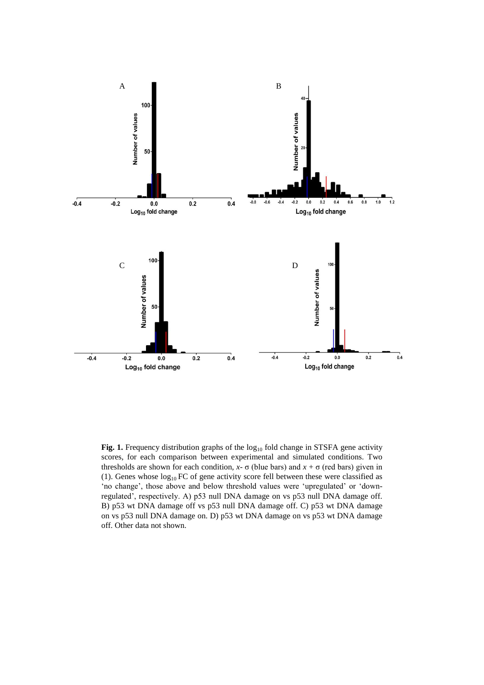

Fig. 1. Frequency distribution graphs of the log<sub>10</sub> fold change in STSFA gene activity scores, for each comparison between experimental and simulated conditions. Two thresholds are shown for each condition,  $x$ -  $\sigma$  (blue bars) and  $x + \sigma$  (red bars) given in (1). Genes whose  $log_{10}$  FC of gene activity score fell between these were classified as 'no change', those above and below threshold values were 'upregulated' or 'downregulated', respectively. A) p53 null DNA damage on vs p53 null DNA damage off. B) p53 wt DNA damage off vs p53 null DNA damage off. C) p53 wt DNA damage on vs p53 null DNA damage on. D) p53 wt DNA damage on vs p53 wt DNA damage off. Other data not shown.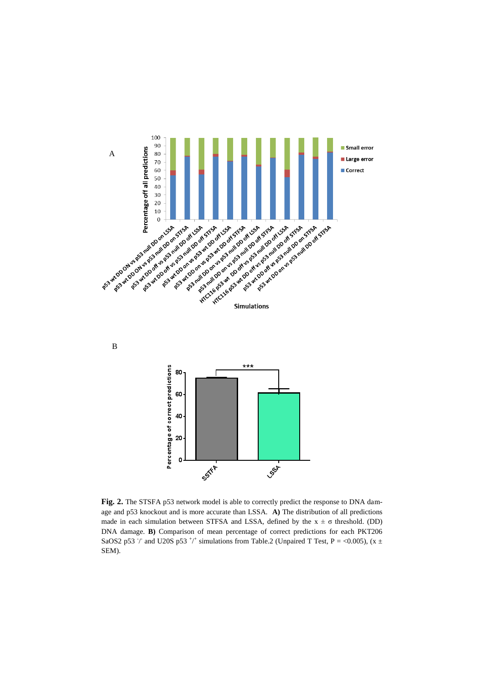

Fig. 2. The STSFA p53 network model is able to correctly predict the response to DNA damage and p53 knockout and is more accurate than LSSA. **A)** The distribution of all predictions made in each simulation between STFSA and LSSA, defined by the  $x \pm \sigma$  threshold. (DD) DNA damage. **B)** Comparison of mean percentage of correct predictions for each PKT206 SaOS2 p53  $\dot{\phantom{1}}$  and U20S p53  $^{\dot{\phantom{1}}+\dot{\phantom{1}}+\dot{\phantom{1}}+\dot{\phantom{1}}+\dot{\phantom{1}}+\dot{\phantom{1}}+\dot{\phantom{1}}+\dot{\phantom{1}}+\dot{\phantom{1}}+\dot{\phantom{1}}+\dot{\phantom{1}}+\dot{\phantom{1}}+\dot{\phantom{1}}+\dot{\phantom{1}}+\dot{\phantom{1}}+\dot{\phantom{1}}+\dot{\phantom{1}}+\dot{\phantom{1}}+\dot{\phantom{1}}+\dot{\phantom{1}}+\dot{\phantom{1}}+\dot{\phantom{1}}+\dot{\phantom{1}}+\$ SEM).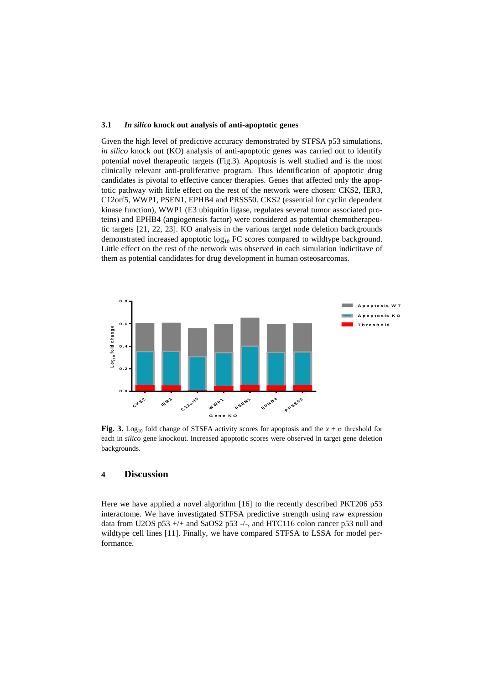#### **3.1** *In silico* **knock out analysis of anti-apoptotic genes**

Given the high level of predictive accuracy demonstrated by STFSA p53 simulations, *in silico* knock out (KO) analysis of anti-apoptotic genes was carried out to identify potential novel therapeutic targets (Fig.3). Apoptosis is well studied and is the most clinically relevant anti-proliferative program. Thus identification of apoptotic drug candidates is pivotal to effective cancer therapies. Genes that affected only the apoptotic pathway with little effect on the rest of the network were chosen: CKS2, IER3, C12orf5, WWP1, PSEN1, EPHB4 and PRSS50. CKS2 (essential for cyclin dependent kinase function), WWP1 (E3 ubiquitin ligase, regulates several tumor associated proteins) and EPHB4 (angiogenesis factor) were considered as potential chemotherapeutic targets [21, 22, 23]. KO analysis in the various target node deletion backgrounds demonstrated increased apoptotic  $log_{10}$  FC scores compared to wildtype background. Little effect on the rest of the network was observed in each simulation indictitave of them as potential candidates for drug development in human osteosarcomas.



**Fig. 3.** Log<sub>10</sub> fold change of STSFA activity scores for apoptosis and the  $x + \sigma$  threshold for each in *silico* gene knockout. Increased apoptotic scores were observed in target gene deletion backgrounds.

## **4 Discussion**

Here we have applied a novel algorithm [16] to the recently described PKT206 p53 interactome. We have investigated STFSA predictive strength using raw expression data from U2OS p53 +/+ and SaOS2 p53 -/-, and HTC116 colon cancer p53 null and wildtype cell lines [11]. Finally, we have compared STFSA to LSSA for model performance.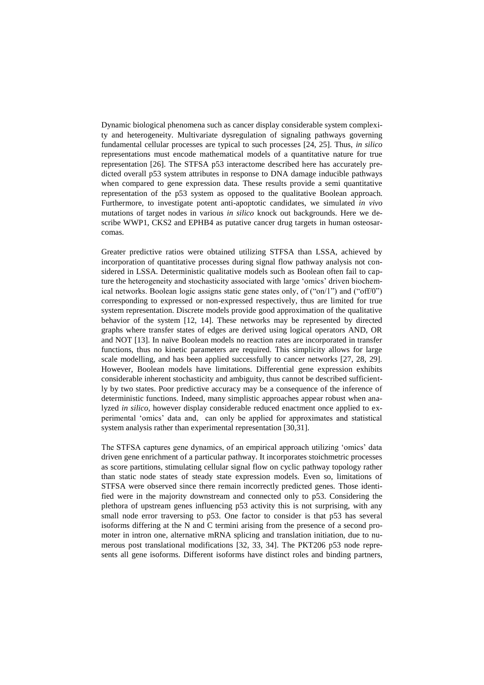Dynamic biological phenomena such as cancer display considerable system complexity and heterogeneity. Multivariate dysregulation of signaling pathways governing fundamental cellular processes are typical to such processes [24, 25]. Thus, *in silico* representations must encode mathematical models of a quantitative nature for true representation [26]. The STFSA p53 interactome described here has accurately predicted overall p53 system attributes in response to DNA damage inducible pathways when compared to gene expression data. These results provide a semi quantitative representation of the p53 system as opposed to the qualitative Boolean approach. Furthermore, to investigate potent anti-apoptotic candidates, we simulated *in vivo* mutations of target nodes in various *in silico* knock out backgrounds. Here we describe WWP1, CKS2 and EPHB4 as putative cancer drug targets in human osteosarcomas.

Greater predictive ratios were obtained utilizing STFSA than LSSA, achieved by incorporation of quantitative processes during signal flow pathway analysis not considered in LSSA. Deterministic qualitative models such as Boolean often fail to capture the heterogeneity and stochasticity associated with large 'omics' driven biochemical networks. Boolean logic assigns static gene states only, of ("on/1") and ("off/0") corresponding to expressed or non-expressed respectively, thus are limited for true system representation. Discrete models provide good approximation of the qualitative behavior of the system [12, 14]. These networks may be represented by directed graphs where transfer states of edges are derived using logical operators AND, OR and NOT [13]. In naïve Boolean models no reaction rates are incorporated in transfer functions, thus no kinetic parameters are required. This simplicity allows for large scale modelling, and has been applied successfully to cancer networks [27, 28, 29]. However, Boolean models have limitations. Differential gene expression exhibits considerable inherent stochasticity and ambiguity, thus cannot be described sufficiently by two states. Poor predictive accuracy may be a consequence of the inference of deterministic functions. Indeed, many simplistic approaches appear robust when analyzed *in silico*, however display considerable reduced enactment once applied to experimental 'omics' data and, can only be applied for approximates and statistical system analysis rather than experimental representation [30,31].

The STFSA captures gene dynamics, of an empirical approach utilizing 'omics' data driven gene enrichment of a particular pathway. It incorporates stoichmetric processes as score partitions, stimulating cellular signal flow on cyclic pathway topology rather than static node states of steady state expression models. Even so, limitations of STFSA were observed since there remain incorrectly predicted genes. Those identified were in the majority downstream and connected only to p53. Considering the plethora of upstream genes influencing p53 activity this is not surprising, with any small node error traversing to p53. One factor to consider is that p53 has several isoforms differing at the N and C termini arising from the presence of a second promoter in intron one, alternative mRNA splicing and translation initiation, due to numerous post translational modifications [32, 33, 34]. The PKT206 p53 node represents all gene isoforms. Different isoforms have distinct roles and binding partners,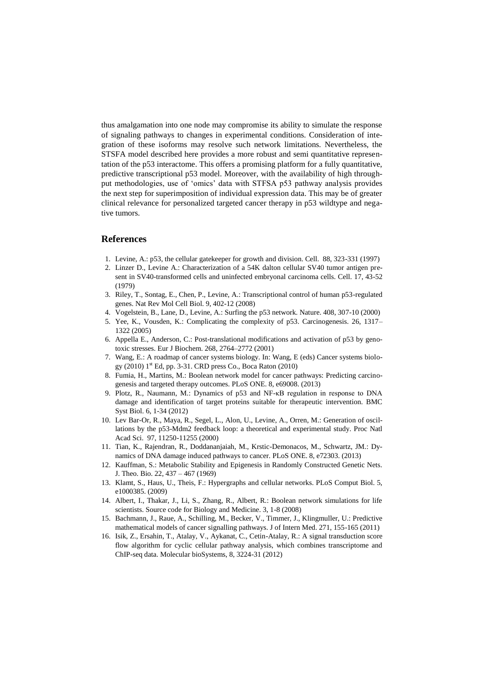thus amalgamation into one node may compromise its ability to simulate the response of signaling pathways to changes in experimental conditions. Consideration of integration of these isoforms may resolve such network limitations. Nevertheless, the STSFA model described here provides a more robust and semi quantitative representation of the p53 interactome. This offers a promising platform for a fully quantitative, predictive transcriptional p53 model. Moreover, with the availability of high throughput methodologies, use of 'omics' data with STFSA p53 pathway analysis provides the next step for superimposition of individual expression data. This may be of greater clinical relevance for personalized targeted cancer therapy in p53 wildtype and negative tumors.

## **References**

- 1. Levine, A.: p53, the cellular gatekeeper for growth and division. Cell. 88, 323-331 (1997)
- 2. Linzer D., Levine A.: Characterization of a 54K dalton cellular SV40 tumor antigen present in SV40-transformed cells and uninfected embryonal carcinoma cells. Cell. 17, 43-52 (1979)
- 3. Riley, T., Sontag, E., Chen, P., Levine, A.: Transcriptional control of human p53-regulated genes. Nat Rev Mol Cell Biol. 9, 402-12 (2008)
- 4. Vogelstein, B., Lane, D., Levine, A.: Surfing the p53 network. Nature. 408, 307-10 (2000)
- 5. Yee, K., Vousden, K.: Complicating the complexity of p53. Carcinogenesis. 26, 1317– 1322 (2005)
- 6. Appella E., Anderson, C.: Post-translational modifications and activation of p53 by genotoxic stresses. Eur J Biochem. 268, 2764–2772 (2001)
- 7. Wang, E.: A roadmap of cancer systems biology. In: Wang, E (eds) Cancer systems biology (2010) 1<sup>st</sup> Ed, pp. 3-31. CRD press Co., Boca Raton (2010)
- 8. Fumia, H., Martins, M.: Boolean network model for cancer pathways: Predicting carcinogenesis and targeted therapy outcomes. PLoS ONE. 8, e69008. (2013)
- 9. Plotz, R., Naumann, M.: Dynamics of p53 and NF-κB regulation in response to DNA damage and identification of target proteins suitable for therapeutic intervention. BMC Syst Biol. 6, 1-34 (2012)
- 10. Lev Bar-Or, R., Maya, R., Segel, L., Alon, U., Levine, A., Orren, M.: Generation of oscillations by the p53-Mdm2 feedback loop: a theoretical and experimental study. Proc Natl Acad Sci. 97, 11250-11255 (2000)
- 11. Tian, K., Rajendran, R., Doddananjaiah, M., Krstic-Demonacos, M., Schwartz, JM.: Dynamics of DNA damage induced pathways to cancer. PLoS ONE. 8, e72303. (2013)
- 12. Kauffman, S.: Metabolic Stability and Epigenesis in Randomly Constructed Genetic Nets. J. Theo. Bio. 22, 437 – 467 (1969)
- 13. Klamt, S., Haus, U., Theis, F.: Hypergraphs and cellular networks. PLoS Comput Biol. 5, e1000385. (2009)
- 14. Albert, I., Thakar, J., Li, S., Zhang, R., Albert, R.: Boolean network simulations for life scientists. Source code for Biology and Medicine. 3, 1-8 (2008)
- 15. Bachmann, J., Raue, A., Schilling, M., Becker, V., Timmer, J., Klingmuller, U.: Predictive mathematical models of cancer signalling pathways. J of Intern Med. 271, 155-165 (2011)
- 16. Isik, Z., Ersahin, T., Atalay, V., Aykanat, C., Cetin-Atalay, R.: A signal transduction score flow algorithm for cyclic cellular pathway analysis, which combines transcriptome and ChIP-seq data. Molecular bioSystems, 8, 3224-31 (2012)